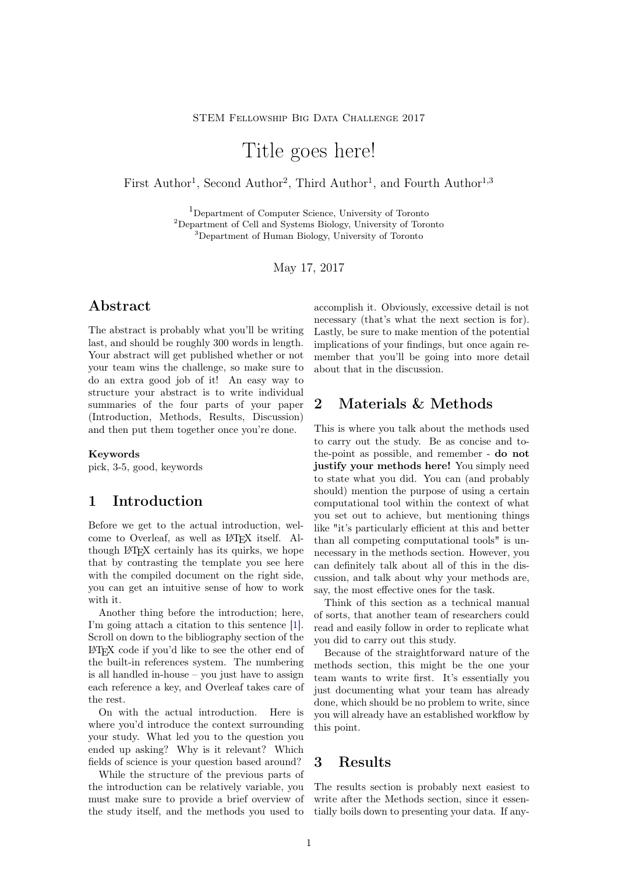# Title goes here!

First Author<sup>1</sup>, Second Author<sup>2</sup>, Third Author<sup>1</sup>, and Fourth Author<sup>1,3</sup>

<sup>1</sup>Department of Computer Science, University of Toronto <sup>2</sup>Department of Cell and Systems Biology, University of Toronto <sup>3</sup>Department of Human Biology, University of Toronto

May 17, 2017

#### Abstract

The abstract is probably what you'll be writing last, and should be roughly 300 words in length. Your abstract will get published whether or not your team wins the challenge, so make sure to do an extra good job of it! An easy way to structure your abstract is to write individual summaries of the four parts of your paper (Introduction, Methods, Results, Discussion) and then put them together once you're done.

#### Keywords

pick, 3-5, good, keywords

#### 1 Introduction

Before we get to the actual introduction, welcome to Overleaf, as well as LATEX itself. Although LATEX certainly has its quirks, we hope that by contrasting the template you see here with the compiled document on the right side, you can get an intuitive sense of how to work with it.

Another thing before the introduction; here, I'm going attach a citation to this sentence [\[1\]](#page-1-0). Scroll on down to the bibliography section of the LATEX code if you'd like to see the other end of the built-in references system. The numbering is all handled in-house – you just have to assign each reference a key, and Overleaf takes care of the rest.

On with the actual introduction. Here is where you'd introduce the context surrounding your study. What led you to the question you ended up asking? Why is it relevant? Which fields of science is your question based around?

While the structure of the previous parts of the introduction can be relatively variable, you must make sure to provide a brief overview of the study itself, and the methods you used to

accomplish it. Obviously, excessive detail is not necessary (that's what the next section is for). Lastly, be sure to make mention of the potential implications of your findings, but once again remember that you'll be going into more detail about that in the discussion.

#### 2 Materials & Methods

This is where you talk about the methods used to carry out the study. Be as concise and tothe-point as possible, and remember - do not justify your methods here! You simply need to state what you did. You can (and probably should) mention the purpose of using a certain computational tool within the context of what you set out to achieve, but mentioning things like "it's particularly efficient at this and better than all competing computational tools" is unnecessary in the methods section. However, you can definitely talk about all of this in the discussion, and talk about why your methods are, say, the most effective ones for the task.

Think of this section as a technical manual of sorts, that another team of researchers could read and easily follow in order to replicate what you did to carry out this study.

Because of the straightforward nature of the methods section, this might be the one your team wants to write first. It's essentially you just documenting what your team has already done, which should be no problem to write, since you will already have an established workflow by this point.

#### 3 Results

The results section is probably next easiest to write after the Methods section, since it essentially boils down to presenting your data. If any-